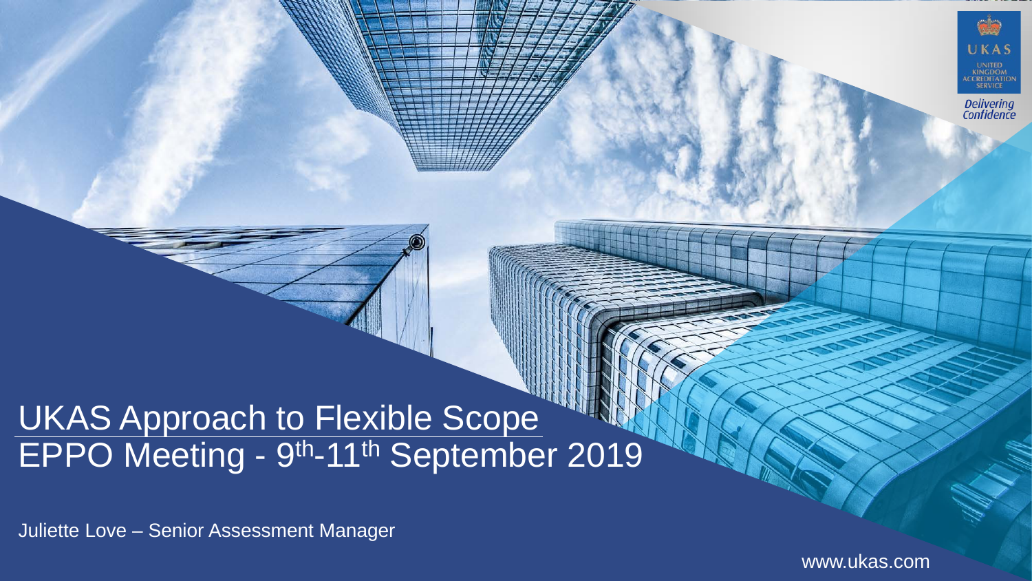### UKAS Approach to Flexible Scope EPPO Meeting - 9<sup>th</sup>-11<sup>th</sup> September 2019

Juliette Love – Senior Assessment Manager

www.ukas.com

UKAS

**KINGDOM** CCREDITATIC

Delivering<br>Confidence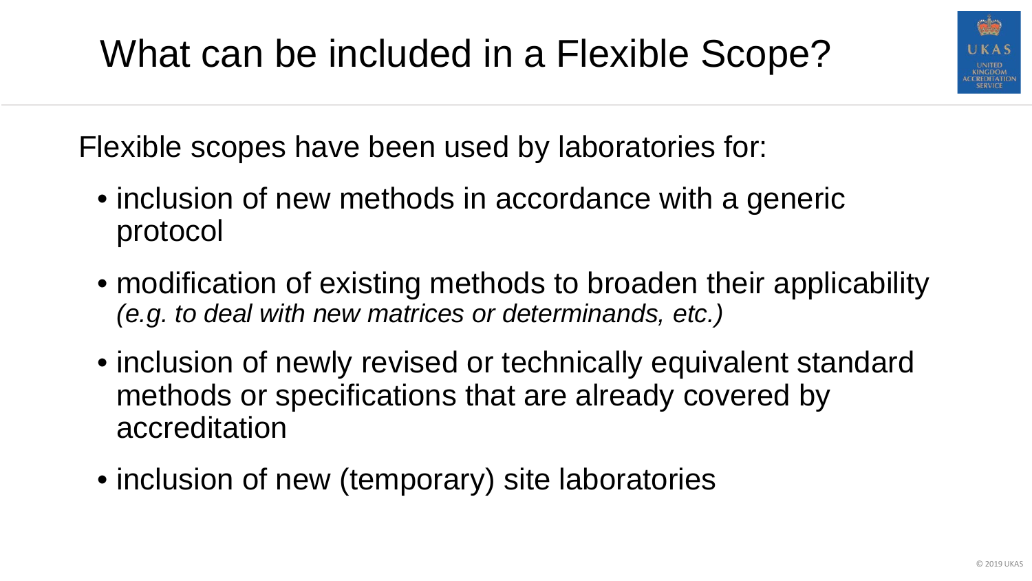

Flexible scopes have been used by laboratories for:

- inclusion of new methods in accordance with a generic protocol
- modification of existing methods to broaden their applicability *(e.g. to deal with new matrices or determinands, etc.)*
- inclusion of newly revised or technically equivalent standard methods or specifications that are already covered by accreditation
- inclusion of new (temporary) site laboratories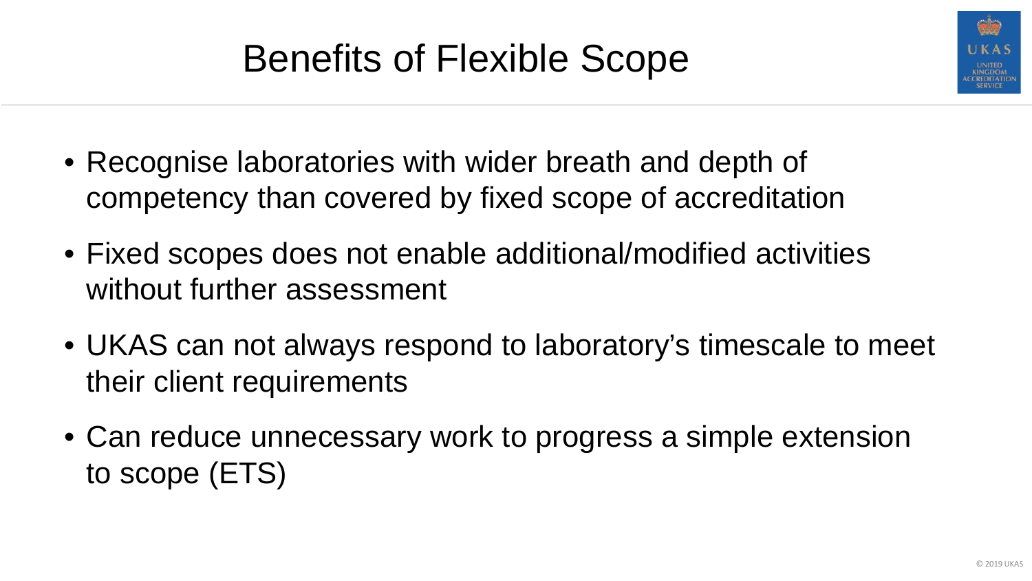

## Benefits of Flexible Scope

- Recognise laboratories with wider breath and depth of competency than covered by fixed scope of accreditation
- Fixed scopes does not enable additional/modified activities without further assessment
- UKAS can not always respond to laboratory's timescale to meet their client requirements
- Can reduce unnecessary work to progress a simple extension to scope (ETS)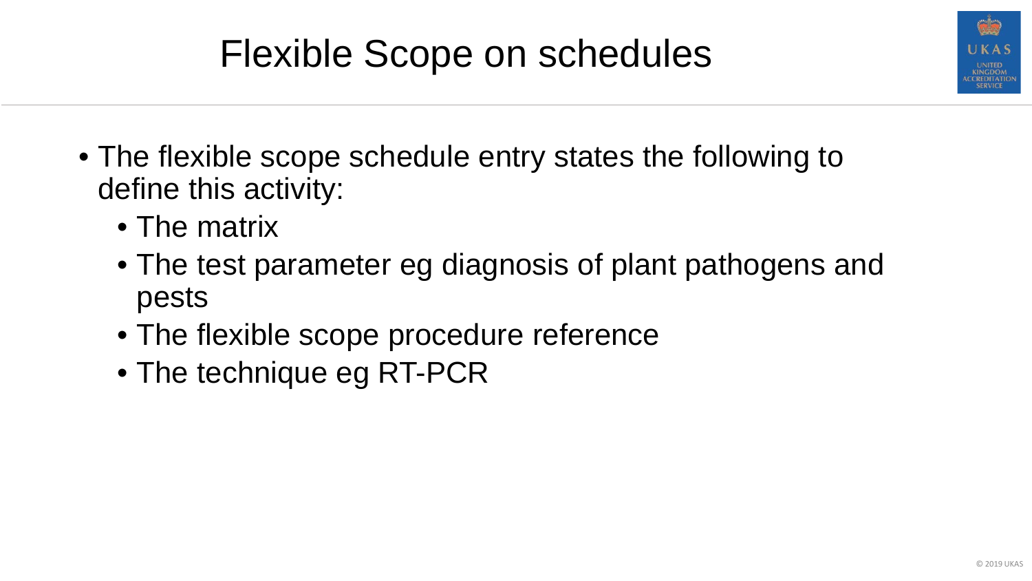# Flexible Scope on schedules

- The flexible scope schedule entry states the following to define this activity:
	- The matrix
	- The test parameter eg diagnosis of plant pathogens and pests
	- The flexible scope procedure reference
	- The technique eg RT-PCR

CREDITATI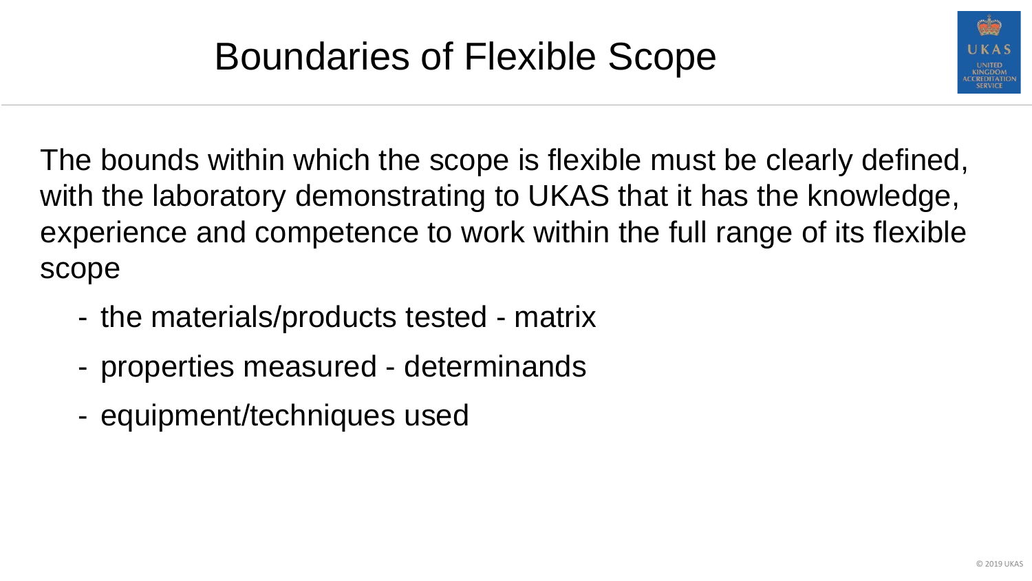

The bounds within which the scope is flexible must be clearly defined, with the laboratory demonstrating to UKAS that it has the knowledge, experience and competence to work within the full range of its flexible scope

- the materials/products tested matrix
- properties measured determinands
- equipment/techniques used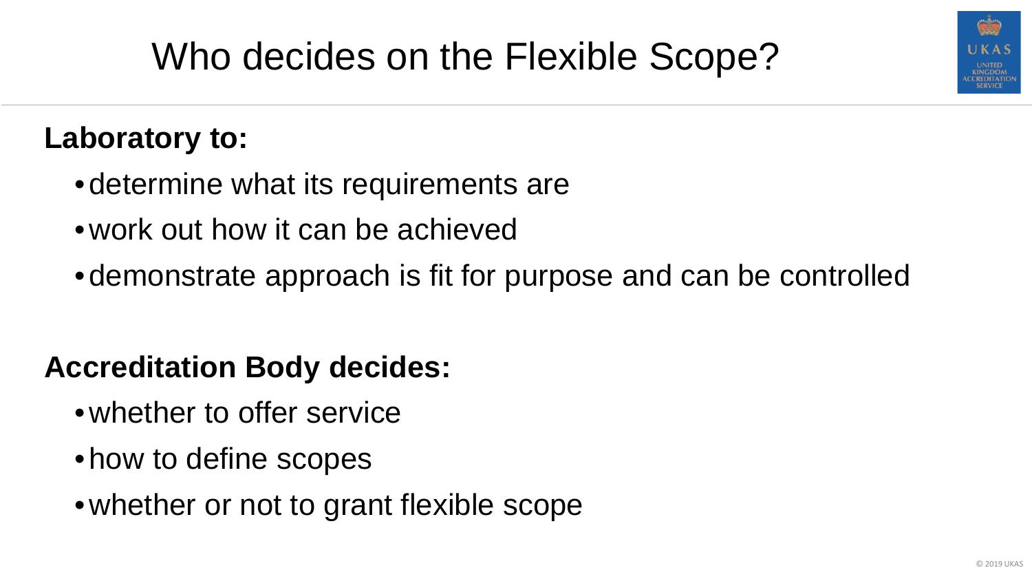

## Who decides on the Flexible Scope?

#### **Laboratory to:**

- determine what its requirements are
- •work out how it can be achieved
- demonstrate approach is fit for purpose and can be controlled

#### **Accreditation Body decides:**

- whether to offer service
- how to define scopes
- whether or not to grant flexible scope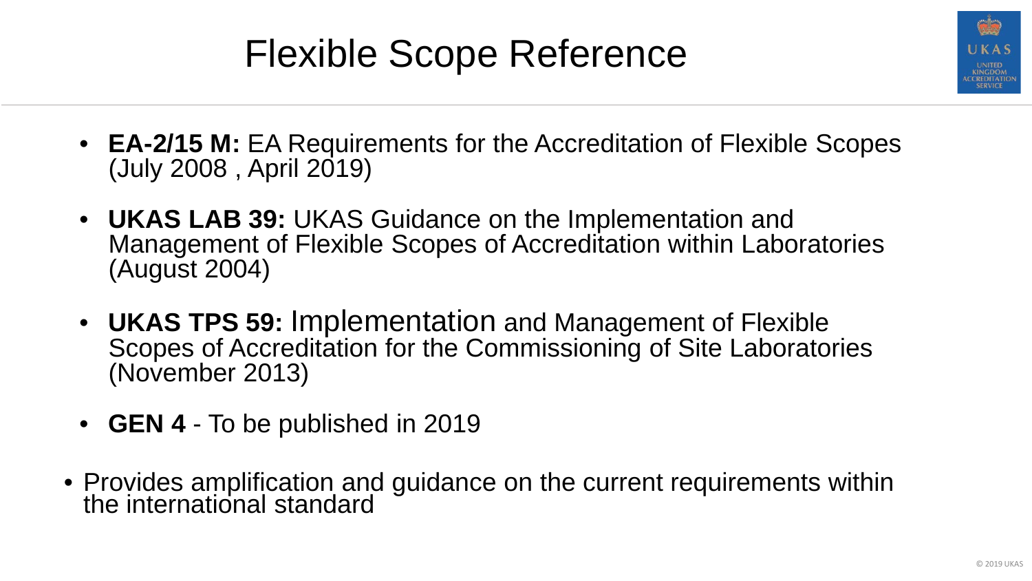### Flexible Scope Reference



- **EA-2/15 M:** EA Requirements for the Accreditation of Flexible Scopes (July 2008 , April 2019)
- **UKAS LAB 39:** UKAS Guidance on the Implementation and Management of Flexible Scopes of Accreditation within Laboratories (August 2004)
- **UKAS TPS 59:** Implementation and Management of Flexible Scopes of Accreditation for the Commissioning of Site Laboratories (November 2013)
- **GEN 4** To be published in 2019
- Provides amplification and guidance on the current requirements within the international standard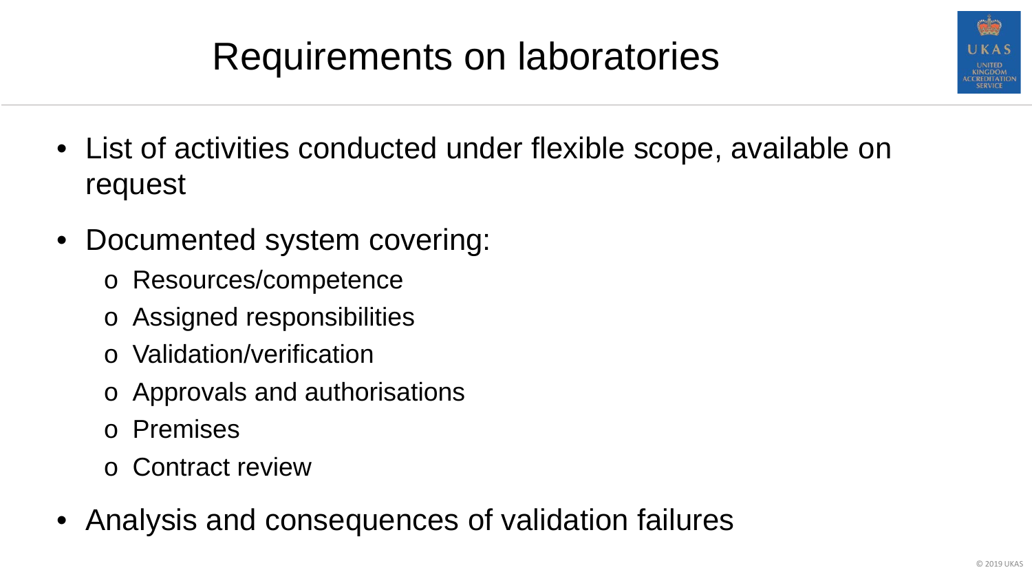

### Requirements on laboratories

- List of activities conducted under flexible scope, available on request
- Documented system covering:
	- o Resources/competence
	- o Assigned responsibilities
	- o Validation/verification
	- o Approvals and authorisations
	- o Premises
	- o Contract review
- Analysis and consequences of validation failures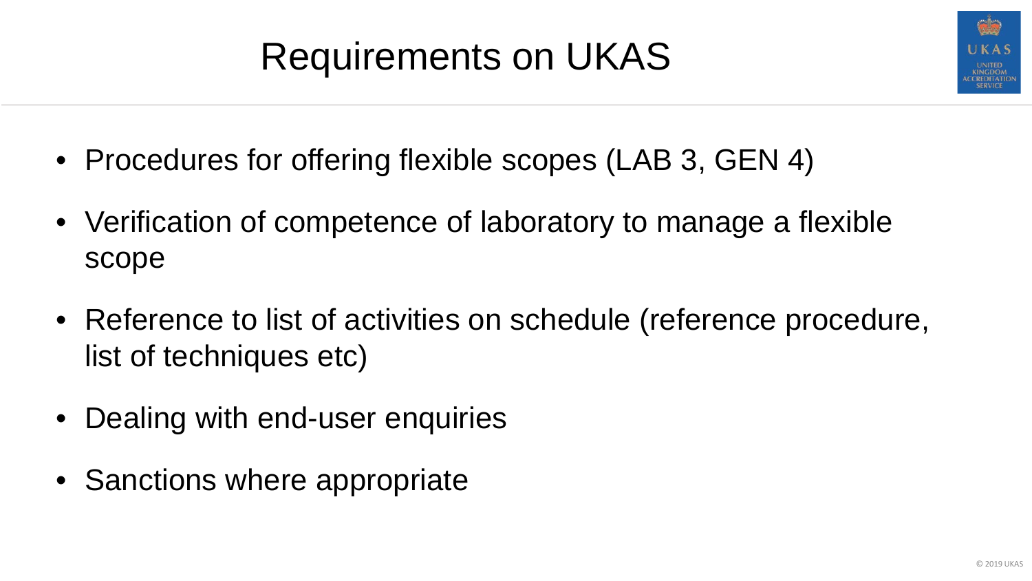### Requirements on UKAS

- Procedures for offering flexible scopes (LAB 3, GEN 4)
- Verification of competence of laboratory to manage a flexible scope
- Reference to list of activities on schedule (reference procedure, list of techniques etc)
- Dealing with end-user enquiries
- Sanctions where appropriate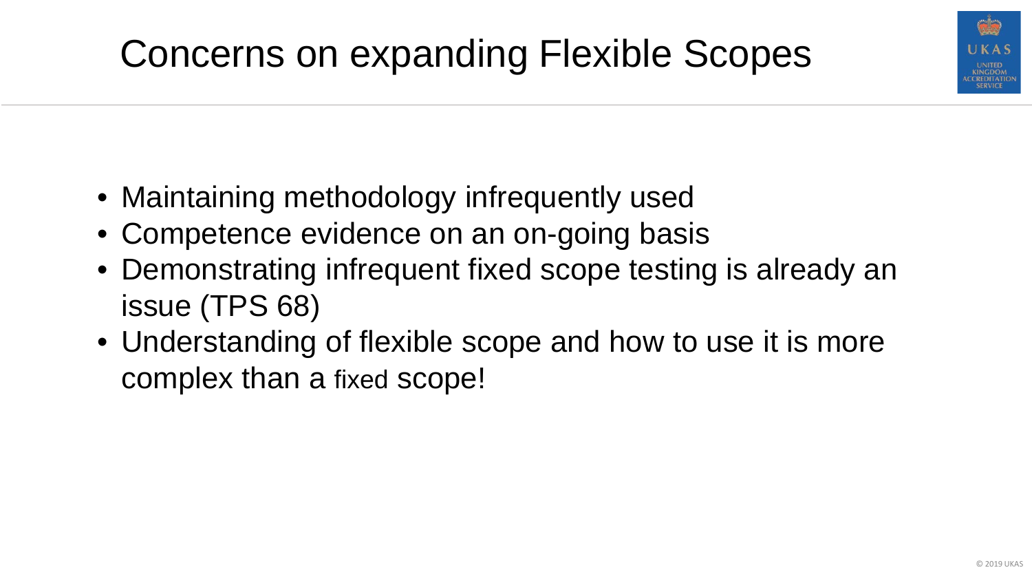

- Maintaining methodology infrequently used
- Competence evidence on an on-going basis
- Demonstrating infrequent fixed scope testing is already an issue (TPS 68)
- Understanding of flexible scope and how to use it is more complex than a fixed scope!